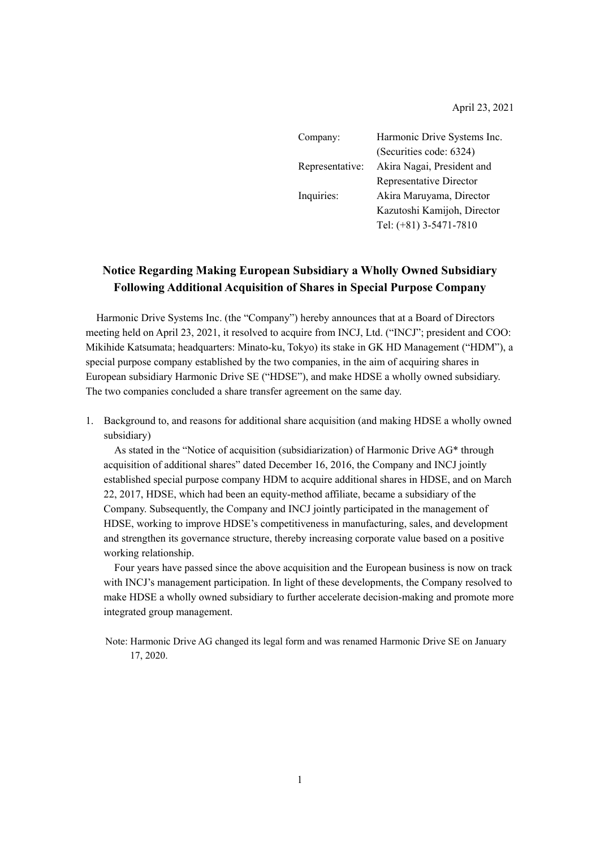April 23, 2021

| Company:        | Harmonic Drive Systems Inc. |  |
|-----------------|-----------------------------|--|
|                 | (Securities code: 6324)     |  |
| Representative: | Akira Nagai, President and  |  |
|                 | Representative Director     |  |
| Inquiries:      | Akira Maruyama, Director    |  |
|                 | Kazutoshi Kamijoh, Director |  |
|                 | Tel: (+81) 3-5471-7810      |  |

# **Notice Regarding Making European Subsidiary a Wholly Owned Subsidiary Following Additional Acquisition of Shares in Special Purpose Company**

Harmonic Drive Systems Inc. (the "Company") hereby announces that at a Board of Directors meeting held on April 23, 2021, it resolved to acquire from INCJ, Ltd. ("INCJ"; president and COO: Mikihide Katsumata; headquarters: Minato-ku, Tokyo) its stake in GK HD Management ("HDM"), a special purpose company established by the two companies, in the aim of acquiring shares in European subsidiary Harmonic Drive SE ("HDSE"), and make HDSE a wholly owned subsidiary. The two companies concluded a share transfer agreement on the same day.

1. Background to, and reasons for additional share acquisition (and making HDSE a wholly owned subsidiary)

As stated in the "Notice of acquisition (subsidiarization) of Harmonic Drive AG\* through acquisition of additional shares" dated December 16, 2016, the Company and INCJ jointly established special purpose company HDM to acquire additional shares in HDSE, and on March 22, 2017, HDSE, which had been an equity-method affiliate, became a subsidiary of the Company. Subsequently, the Company and INCJ jointly participated in the management of HDSE, working to improve HDSE's competitiveness in manufacturing, sales, and development and strengthen its governance structure, thereby increasing corporate value based on a positive working relationship.

Four years have passed since the above acquisition and the European business is now on track with INCJ's management participation. In light of these developments, the Company resolved to make HDSE a wholly owned subsidiary to further accelerate decision-making and promote more integrated group management.

Note: Harmonic Drive AG changed its legal form and was renamed Harmonic Drive SE on January 17, 2020.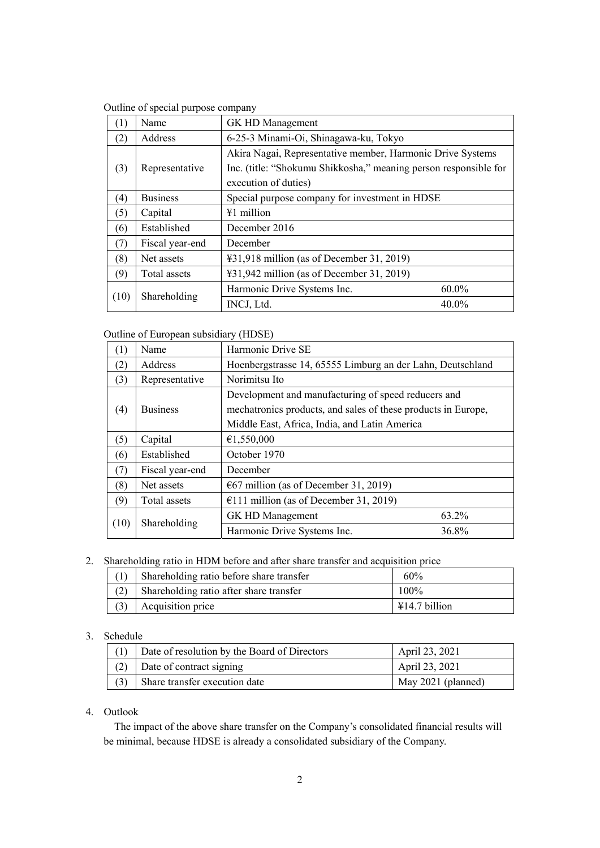Outline of special purpose company

| (1)  | Name            | GK HD Management                                                                                                                                       |          |
|------|-----------------|--------------------------------------------------------------------------------------------------------------------------------------------------------|----------|
| (2)  | Address         | 6-25-3 Minami-Oi, Shinagawa-ku, Tokyo                                                                                                                  |          |
| (3)  | Representative  | Akira Nagai, Representative member, Harmonic Drive Systems<br>Inc. (title: "Shokumu Shikkosha," meaning person responsible for<br>execution of duties) |          |
| (4)  | <b>Business</b> | Special purpose company for investment in HDSE                                                                                                         |          |
| (5)  | Capital         | $#1$ million                                                                                                                                           |          |
| (6)  | Established     | December 2016                                                                                                                                          |          |
| (7)  | Fiscal year-end | December                                                                                                                                               |          |
| (8)  | Net assets      | ¥31,918 million (as of December 31, 2019)                                                                                                              |          |
| (9)  | Total assets    | $\text{\textsterling}31,942$ million (as of December 31, 2019)                                                                                         |          |
| (10) | Shareholding    | Harmonic Drive Systems Inc.                                                                                                                            | $60.0\%$ |
|      |                 | INCJ, Ltd.                                                                                                                                             | 40.0%    |

Outline of European subsidiary (HDSE)

| (1)  | Name            | Harmonic Drive SE                                                                                                                                                     |       |
|------|-----------------|-----------------------------------------------------------------------------------------------------------------------------------------------------------------------|-------|
| (2)  | Address         | Hoenbergstrasse 14, 65555 Limburg an der Lahn, Deutschland                                                                                                            |       |
| (3)  | Representative  | Norimitsu Ito                                                                                                                                                         |       |
| (4)  | <b>Business</b> | Development and manufacturing of speed reducers and<br>mechatronics products, and sales of these products in Europe,<br>Middle East, Africa, India, and Latin America |       |
| (5)  | Capital         | €1,550,000                                                                                                                                                            |       |
| (6)  | Established     | October 1970                                                                                                                                                          |       |
| (7)  | Fiscal year-end | December                                                                                                                                                              |       |
| (8)  | Net assets      | $\epsilon$ 67 million (as of December 31, 2019)                                                                                                                       |       |
| (9)  | Total assets    | $£111$ million (as of December 31, 2019)                                                                                                                              |       |
| (10) | Shareholding    | GK HD Management                                                                                                                                                      | 63.2% |
|      |                 | Harmonic Drive Systems Inc.                                                                                                                                           | 36.8% |

## 2. Shareholding ratio in HDM before and after share transfer and acquisition price

| $(1)$ Shareholding ratio before share transfer | 60%                     |
|------------------------------------------------|-------------------------|
| $(2)$ Shareholding ratio after share transfer  | $100\%$                 |
| $(3)$ Acquisition price                        | $\text{\#}14.7$ billion |

#### 3. Schedule

| Date of resolution by the Board of Directors | April 23, 2021     |
|----------------------------------------------|--------------------|
| $(2)$ Date of contract signing               | April 23, 2021     |
| Share transfer execution date                | May 2021 (planned) |

## 4. Outlook

The impact of the above share transfer on the Company's consolidated financial results will be minimal, because HDSE is already a consolidated subsidiary of the Company.